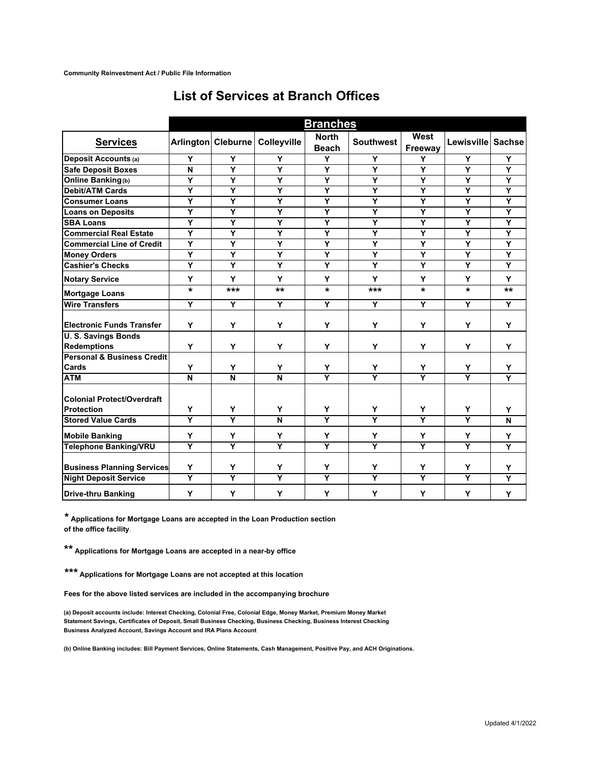|                                       | <b>Branches</b> |                         |                         |                         |                         |                         |                         |                         |
|---------------------------------------|-----------------|-------------------------|-------------------------|-------------------------|-------------------------|-------------------------|-------------------------|-------------------------|
| <b>Services</b>                       |                 | Arlington Cleburne      | Colleyville             | <b>North</b>            | <b>Southwest</b>        | West                    | Lewisville Sachse       |                         |
|                                       |                 |                         |                         | <b>Beach</b>            |                         | Freeway                 |                         |                         |
| <b>Deposit Accounts (a)</b>           | Y               | Y                       | Y                       | Y                       | Y                       | Y                       | Υ                       | Y                       |
| <b>Safe Deposit Boxes</b>             | N               | Υ                       | Y                       | Y                       | Y                       | Y                       | Y                       | Y                       |
| <b>Online Banking(b)</b>              | Υ               | Y                       | Y                       | Y                       | Y                       | Y                       | Y                       | Y                       |
| <b>Debit/ATM Cards</b>                | Y               | Y                       | Y                       | Y                       | Y                       | Y                       | Y                       | Y                       |
| <b>Consumer Loans</b>                 | Υ               | Y                       | Y                       | Y                       | Y                       | Y                       | Y                       | $\overline{\mathsf{Y}}$ |
| <b>Loans on Deposits</b>              | Y               | Y                       | Y                       | Y                       | Y                       | Y                       | Ÿ                       | Y                       |
| <b>SBA Loans</b>                      | Y               | Y                       | Y                       | Y                       | Y                       | Y                       | Y                       | Y                       |
| <b>Commercial Real Estate</b>         | Y               | Y                       | Y                       | Y                       | Y                       | Y                       | Ÿ                       | Y                       |
| <b>Commercial Line of Credit</b>      | Y               | Υ                       | $\overline{\mathsf{Y}}$ | Y                       | Y                       | Y                       | Y                       | Y                       |
| <b>Money Orders</b>                   | Ÿ               | Ÿ                       | $\overline{\mathsf{Y}}$ | Y                       | Y                       | Ÿ                       | Ÿ                       | Y                       |
| <b>Cashier's Checks</b>               | Y               | Y                       | Y                       | Y                       | Y                       | Y                       | Y                       | Y                       |
| <b>Notary Service</b>                 | Y               | Y                       | Y                       | Y                       | Y                       | Y                       | Y                       | Y                       |
| <b>Mortgage Loans</b>                 | $\star$         | ***                     | **                      | $\star$                 | ***                     | $\star$                 | $\star$                 | $***$                   |
| <b>Wire Transfers</b>                 | Y               | Y                       | Y                       | Y                       | Y                       | Y                       | Y                       | Y                       |
| <b>Electronic Funds Transfer</b>      | Y               | Y                       | Y                       | Y                       | Y                       | Y                       | Y                       | Y                       |
| <b>U.S. Savings Bonds</b>             |                 |                         |                         |                         |                         |                         |                         |                         |
| <b>Redemptions</b>                    | Y               | Y                       | Y                       | Y                       | Y                       | Y                       | Y                       | Y                       |
| <b>Personal &amp; Business Credit</b> |                 |                         |                         |                         |                         |                         |                         |                         |
| Cards                                 | Υ               | Υ                       | Y                       | Υ                       | Y                       | Y                       | Υ                       | Y                       |
| <b>ATM</b>                            | N               | $\overline{\mathsf{N}}$ | N                       | $\overline{\mathsf{Y}}$ | $\overline{\mathbf{Y}}$ | $\overline{\mathsf{Y}}$ | $\overline{\mathsf{Y}}$ | Y                       |
| <b>Colonial Protect/Overdraft</b>     |                 |                         |                         |                         |                         |                         |                         |                         |
| <b>Protection</b>                     | Y               | Y                       | Y                       | Y                       | Y                       | Y                       | Υ                       | Y                       |
| <b>Stored Value Cards</b>             | Ÿ               | $\overline{\mathsf{Y}}$ | N                       | Ÿ                       | $\overline{Y}$          | $\overline{\mathsf{Y}}$ | $\overline{\mathsf{Y}}$ | N                       |
| <b>Mobile Banking</b>                 | Y               | Y                       | Y                       | Y                       | Y                       | Y                       | Y                       | Y                       |
| <b>Telephone Banking/VRU</b>          | Y               | Ÿ                       | $\overline{\mathsf{Y}}$ | Ÿ                       | Ÿ                       | Ÿ                       | Ÿ                       | Y                       |
| <b>Business Planning Services</b>     | Y               | Y                       | Y                       | Y                       | Y                       | Y                       | Y                       | Y                       |
| <b>Night Deposit Service</b>          | Y               | Ÿ                       | Ÿ                       | Ÿ                       | Y                       | Y                       | Ÿ                       | Y                       |
| <b>Drive-thru Banking</b>             | Y               | Y                       | Y                       | Y                       | Y                       | Y                       | Y                       | Y                       |

## **List of Services at Branch Offices**

**\* Applications for Mortgage Loans are accepted in the Loan Production section of the office facility.**

**\*\* Applications for Mortgage Loans are accepted in a near-by office**

**\*\*\* Applications for Mortgage Loans are not accepted at this location**

**Fees for the above listed services are included in the accompanying brochure**

**Business Analyzed Account, Savings Account and IRA Plans Account (a) Deposit accounts include: Interest Checking, Colonial Free, Colonial Edge, Money Market, Premium Money Market Statement Savings, Certificates of Deposit, Small Business Checking, Business Checking, Business Interest Checking**

**(b) Online Banking includes: Bill Payment Services, Online Statements, Cash Management, Positive Pay, and ACH Originations.**